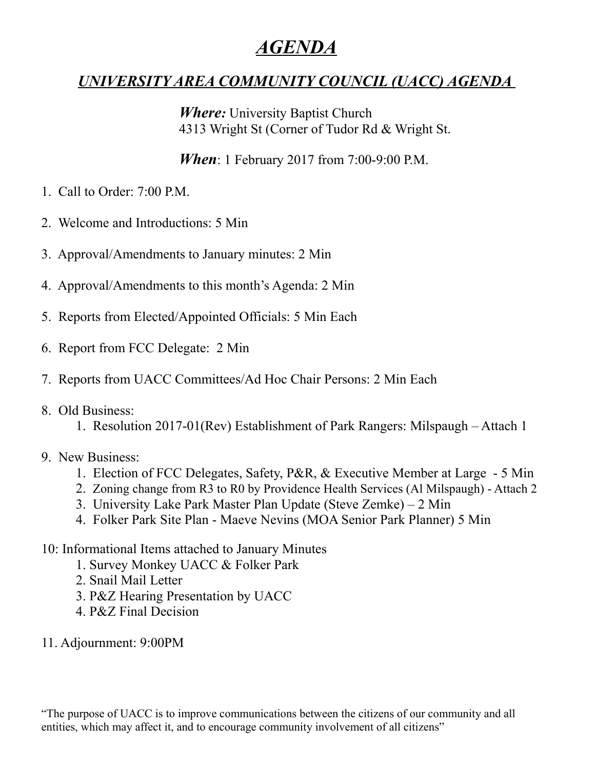## *AGENDA*

## *UNIVERSITY AREA COMMUNITY COUNCIL (UACC) AGENDA*

*Where:* University Baptist Church 4313 Wright St (Corner of Tudor Rd & Wright St.

*When*: 1 February 2017 from 7:00-9:00 P.M.

- 1. Call to Order: 7:00 P.M.
- 2. Welcome and Introductions: 5 Min
- 3. Approval/Amendments to January minutes: 2 Min
- 4. Approval/Amendments to this month's Agenda: 2 Min
- 5. Reports from Elected/Appointed Officials: 5 Min Each
- 6. Report from FCC Delegate: 2 Min
- 7. Reports from UACC Committees/Ad Hoc Chair Persons: 2 Min Each

#### 8. Old Business:

1. Resolution 2017-01(Rev) Establishment of Park Rangers: Milspaugh – Attach 1

#### 9. New Business:

- 1. Election of FCC Delegates, Safety, P&R, & Executive Member at Large 5 Min
- 2. Zoning change from R3 to R0 by Providence Health Services (Al Milspaugh) Attach 2
- 3. University Lake Park Master Plan Update (Steve Zemke) 2 Min
- 4. Folker Park Site Plan Maeve Nevins (MOA Senior Park Planner) 5 Min

### 10: Informational Items attached to January Minutes

- 1. Survey Monkey UACC & Folker Park
- 2. Snail Mail Letter
- 3. P&Z Hearing Presentation by UACC
- 4. P&Z Final Decision

#### 11. Adjournment: 9:00PM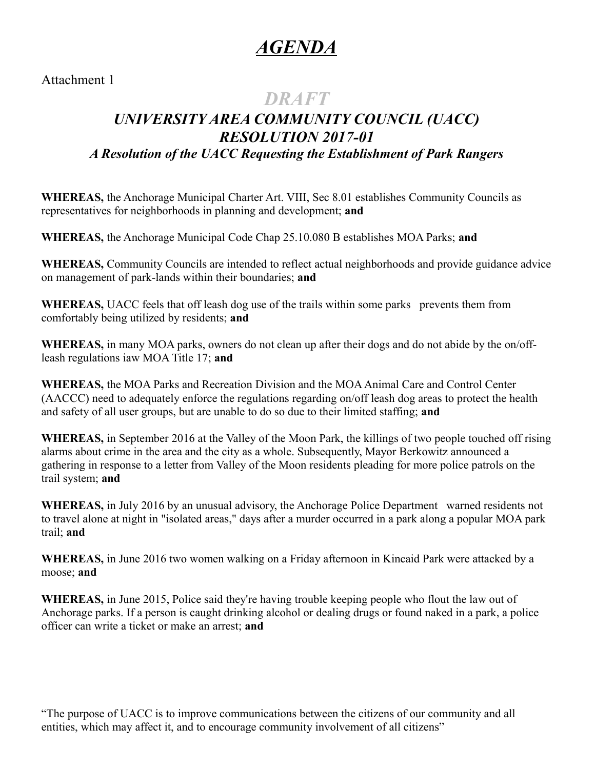## *AGENDA*

Attachment 1

## *DRAFT*

## *UNIVERSITY AREA COMMUNITY COUNCIL (UACC) RESOLUTION 2017-01 A Resolution of the UACC Requesting the Establishment of Park Rangers*

**WHEREAS,** the Anchorage Municipal Charter Art. VIII, Sec 8.01 establishes Community Councils as representatives for neighborhoods in planning and development; **and**

**WHEREAS,** the Anchorage Municipal Code Chap 25.10.080 B establishes MOA Parks; **and**

**WHEREAS,** Community Councils are intended to reflect actual neighborhoods and provide guidance advice on management of park-lands within their boundaries; **and**

WHEREAS, UACC feels that off leash dog use of the trails within some parks prevents them from comfortably being utilized by residents; **and**

**WHEREAS,** in many MOA parks, owners do not clean up after their dogs and do not abide by the on/offleash regulations iaw MOA Title 17; **and**

**WHEREAS,** the MOA Parks and Recreation Division and the MOA Animal Care and Control Center (AACCC) need to adequately enforce the regulations regarding on/off leash dog areas to protect the health and safety of all user groups, but are unable to do so due to their limited staffing; **and** 

**WHEREAS,** in September 2016 at the Valley of the Moon Park, the killings of two people touched off rising alarms about crime in the area and the city as a whole. Subsequently, Mayor Berkowitz announced a gathering in response to a letter from Valley of the Moon residents pleading for more police patrols on the trail system; **and**

**WHEREAS,** in July 2016 by an unusual advisory, the Anchorage Police Department warned residents not to travel alone at night in "isolated areas," days after a murder occurred in a park along a popular MOA park trail; **and**

**WHEREAS,** in June 2016 two women walking on a Friday afternoon in Kincaid Park were attacked by a moose; **and**

**WHEREAS,** in June 2015, Police said they're having trouble keeping people who flout the law out of Anchorage parks. If a person is caught drinking alcohol or dealing drugs or found naked in a park, a police officer can write a ticket or make an arrest; **and**

"The purpose of UACC is to improve communications between the citizens of our community and all entities, which may affect it, and to encourage community involvement of all citizens"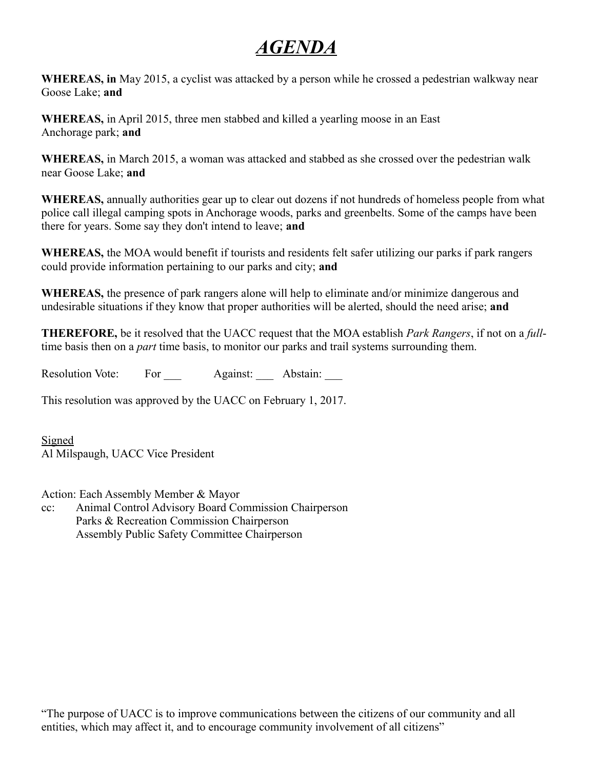## *AGENDA*

**WHEREAS, in** May 2015, a cyclist was attacked by a person while he crossed a pedestrian walkway near Goose Lake; **and**

**WHEREAS,** in April 2015, three men stabbed and killed a yearling moose in an East Anchorage park; **and**

**WHEREAS,** in March 2015, a woman was attacked and stabbed as she crossed over the pedestrian walk near Goose Lake; **and**

**WHEREAS,** annually authorities gear up to clear out dozens if not hundreds of homeless people from what police call illegal camping spots in Anchorage woods, parks and greenbelts. Some of the camps have been there for years. Some say they don't intend to leave; **and**

**WHEREAS,** the MOA would benefit if tourists and residents felt safer utilizing our parks if park rangers could provide information pertaining to our parks and city; **and**

**WHEREAS,** the presence of park rangers alone will help to eliminate and/or minimize dangerous and undesirable situations if they know that proper authorities will be alerted, should the need arise; **and**

**THEREFORE,** be it resolved that the UACC request that the MOA establish *Park Rangers*, if not on a *full*time basis then on a *part* time basis, to monitor our parks and trail systems surrounding them.

Resolution Vote: For Against: Abstain:

This resolution was approved by the UACC on February 1, 2017.

Signed Al Milspaugh, UACC Vice President

Action: Each Assembly Member & Mayor

cc: Animal Control Advisory Board Commission Chairperson Parks & Recreation Commission Chairperson Assembly Public Safety Committee Chairperson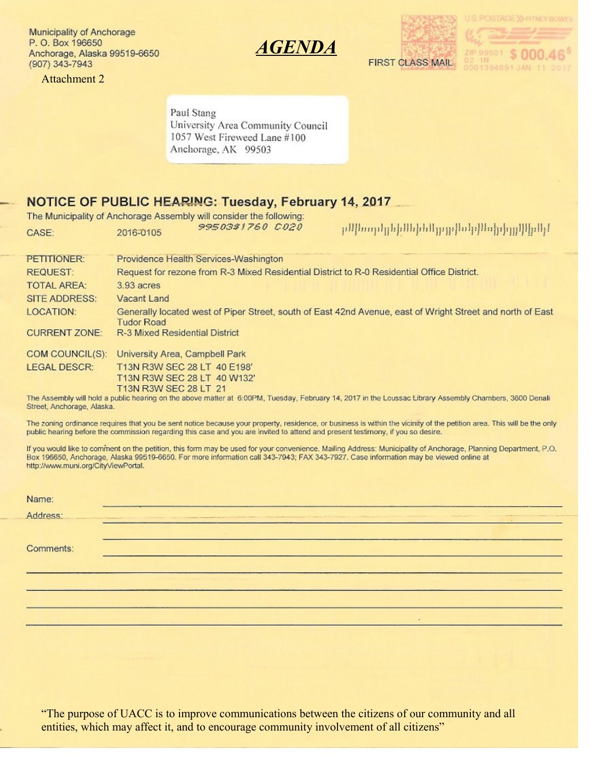Municipality of Anchorage P. O. Box 196650 Anchorage, Alaska 99519-6650 (907) 343-7943

**Attachment 2** 







Paul Stang University Area Community Council 1057 West Fireweed Lane #100 Anchorage, AK 99503

#### NOTICE OF PUBLIC HEARING: Tuesday, February 14, 2017

The Municipality of Anchorage Assembly will consider the following: 99503\$1760 C020 ի կեզեկերի կազմերի կազմեն կարող կերում ինչ CASE: 2016-0105 PETITIONER: Providence Health Services-Washington REQUEST: Request for rezone from R-3 Mixed Residential District to R-0 Residential Office District. 3.93 acres **TOTAL AREA: SITE ADDRESS:** Vacant Land LOCATION: Generally located west of Piper Street, south of East 42nd Avenue, east of Wright Street and north of East **Tudor Road** R-3 Mixed Residential District **CURRENT ZONE:** COM COUNCIL(S): University Area, Campbell Park **LEGAL DESCR:** T13N R3W SEC 28 LT 40 E198' T13N R3W SEC 28 LT 40 W132' T13N R3W SEC 28 LT 21 The Assembly will hold a public hearing on the above matter at 6:00PM, Tuesday, February 14, 2017 in the Loussac Library Assembly Chambers, 3600 Denali Street, Anchorage, Alaska.

The zoning ordinance requires that you be sent notice because your property, residence, or business is within the vicinity of the petition area. This will be the only public hearing before the commission regarding this case and you are invited to attend and present testimony, if you so desire.

If you would like to comment on the petition, this form may be used for your convenience. Mailing Address: Municipality of Anchorage, Planning Department, P.O. Box 196650, Anchorage, Alaska 99519-6650. For more information call 343-7943; FAX 343-7927. Case information may be viewed online at http://www.muni.org/CityViewPortal.

| Name:     |  |
|-----------|--|
| Address:  |  |
| Comments: |  |
|           |  |
|           |  |

"The purpose of UACC is to improve communications between the citizens of our community and all entities, which may affect it, and to encourage community involvement of all citizens"